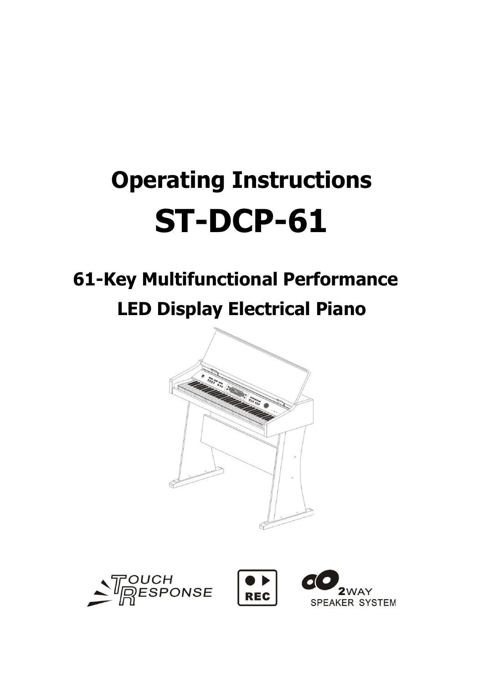# **Operating Instructions ST-DCP-61**

# **61-Key Multifunctional Performance LED Display Electrical Piano**





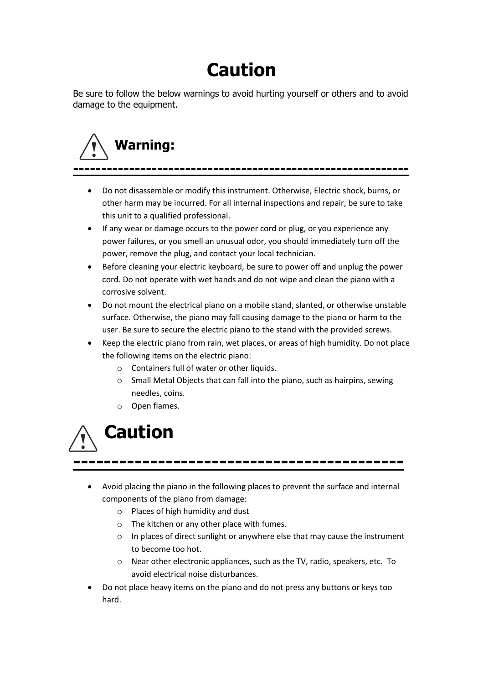# **Caution**

Be sure to follow the below warnings to avoid hurting yourself or others and to avoid damage to the equipment.

# **Warning: ------------------------------------------------------------**

- Do not disassemble or modify this instrument. Otherwise, Electric shock, burns, or other harm may be incurred. For all internal inspections and repair, be sure to take this unit to a qualified professional.
- If any wear or damage occurs to the power cord or plug, or you experience any power failures, or you smell an unusual odor, you should immediately turn off the power, remove the plug, and contact your local technician.
- Before cleaning your electric keyboard, be sure to power off and unplug the power cord. Do not operate with wet hands and do not wipe and clean the piano with a corrosive solvent.
- Do not mount the electrical piano on a mobile stand, slanted, or otherwise unstable surface. Otherwise, the piano may fall causing damage to the piano or harm to the user. Be sure to secure the electric piano to the stand with the provided screws.
- Keep the electric piano from rain, wet places, or areas of high humidity. Do not place the following items on the electric piano:
	- o Containers full of water or other liquids.
	- o Small Metal Objects that can fall into the piano, such as hairpins, sewing needles, coins.
	- o Open flames.



- Avoid placing the piano in the following places to prevent the surface and internal components of the piano from damage:
	- o Places of high humidity and dust
	- o The kitchen or any other place with fumes.
	- o In places of direct sunlight or anywhere else that may cause the instrument to become too hot.
	- o Near other electronic appliances, such as the TV, radio, speakers, etc. To avoid electrical noise disturbances.
- Do not place heavy items on the piano and do not press any buttons or keys too hard.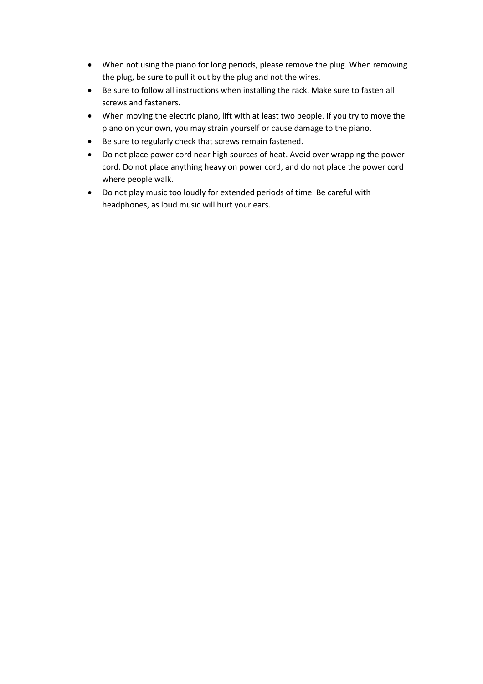- When not using the piano for long periods, please remove the plug. When removing the plug, be sure to pull it out by the plug and not the wires.
- Be sure to follow all instructions when installing the rack. Make sure to fasten all screws and fasteners.
- When moving the electric piano, lift with at least two people. If you try to move the piano on your own, you may strain yourself or cause damage to the piano.
- Be sure to regularly check that screws remain fastened.
- Do not place power cord near high sources of heat. Avoid over wrapping the power cord. Do not place anything heavy on power cord, and do not place the power cord where people walk.
- Do not play music too loudly for extended periods of time. Be careful with headphones, as loud music will hurt your ears.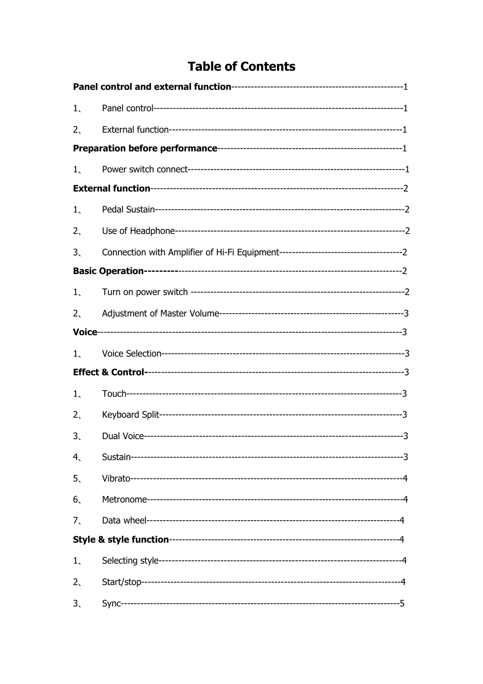# **Table of Contents**

| $1_{\sim}$      |  |
|-----------------|--|
| $2_{\sim}$      |  |
|                 |  |
| $1_{\sim}$      |  |
|                 |  |
| $1_{\sim}$      |  |
| $2_{\rm x}$     |  |
| 3.              |  |
|                 |  |
| 1               |  |
| $2_{\sim}$      |  |
|                 |  |
| $1_{\sim}$      |  |
|                 |  |
| $1_{\sim}$      |  |
| 2,              |  |
| 3.              |  |
| $4\overline{ }$ |  |
| 5 <sub>1</sub>  |  |
| 6 <sub>1</sub>  |  |
| 7.              |  |
|                 |  |
| $1_{\sim}$      |  |
| 2 <sub>1</sub>  |  |
| 3 <sub>1</sub>  |  |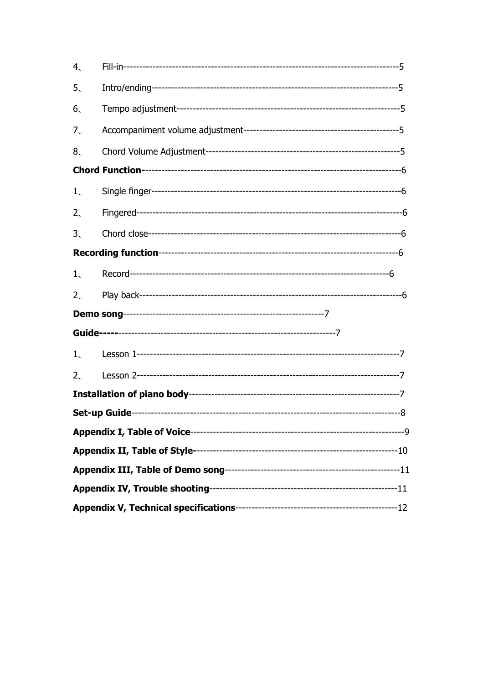| 4,         |  |
|------------|--|
| 5.         |  |
| 6.         |  |
| 7.         |  |
| 8.         |  |
|            |  |
| $1_{\sim}$ |  |
| 2.         |  |
| 3.         |  |
|            |  |
| $1_{\sim}$ |  |
| 2.         |  |
|            |  |
|            |  |
| $1_{\sim}$ |  |
| 2.         |  |
|            |  |
|            |  |
|            |  |
|            |  |
|            |  |
|            |  |
|            |  |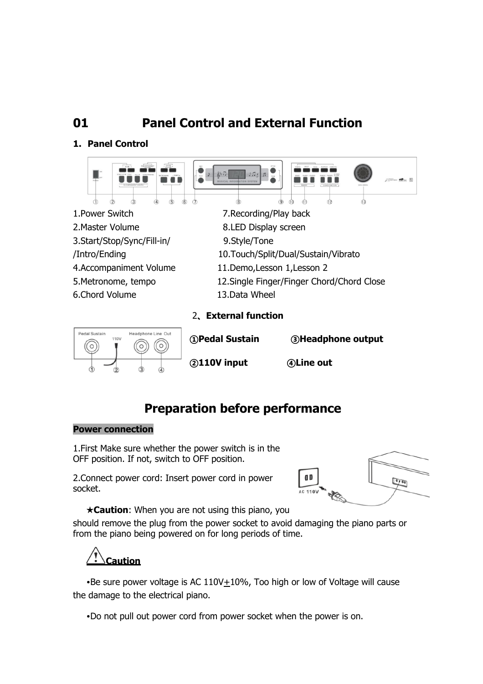# **01 Panel Control and External Function**

# **1. Panel Control**



# **Preparation before performance**

## **Power connection**

1.First Make sure whether the power switch is in the OFF position. If not, switch to OFF position.

2.Connect power cord: Insert power cord in power socket.



**★Caution**: When you are not using this piano, you

should remove the plug from the power socket to avoid damaging the piano parts or from the piano being powered on for long periods of time.

**Caution** 

•Be sure power voltage is AC  $110V+10%$ , Too high or low of Voltage will cause the damage to the electrical piano.

•Do not pull out power cord from power socket when the power is on.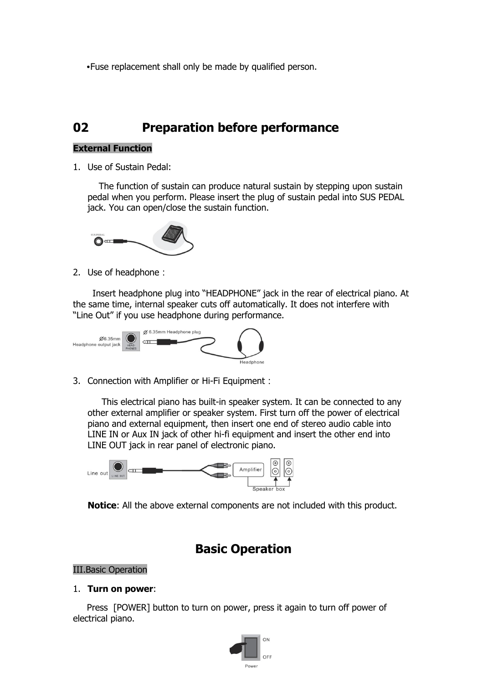•Fuse replacement shall only be made by qualified person.

# **02 Preparation before performance**

# **External Function**

1. Use of Sustain Pedal:

 The function of sustain can produce natural sustain by stepping upon sustain pedal when you perform. Please insert the plug of sustain pedal into SUS PEDAL jack. You can open/close the sustain function.



2. Use of headphone:

 Insert headphone plug into "HEADPHONE" jack in the rear of electrical piano. At the same time, internal speaker cuts off automatically. It does not interfere with "Line Out" if you use headphone during performance.



3. Connection with Amplifier or Hi-Fi Equipment:

 This electrical piano has built-in speaker system. It can be connected to any other external amplifier or speaker system. First turn off the power of electrical piano and external equipment, then insert one end of stereo audio cable into LINE IN or Aux IN jack of other hi-fi equipment and insert the other end into LINE OUT jack in rear panel of electronic piano.



**Notice**: All the above external components are not included with this product.

# **Basic Operation**

## III.Basic Operation

## 1. **Turn on power**:

 Press [POWER] button to turn on power, press it again to turn off power of electrical piano.

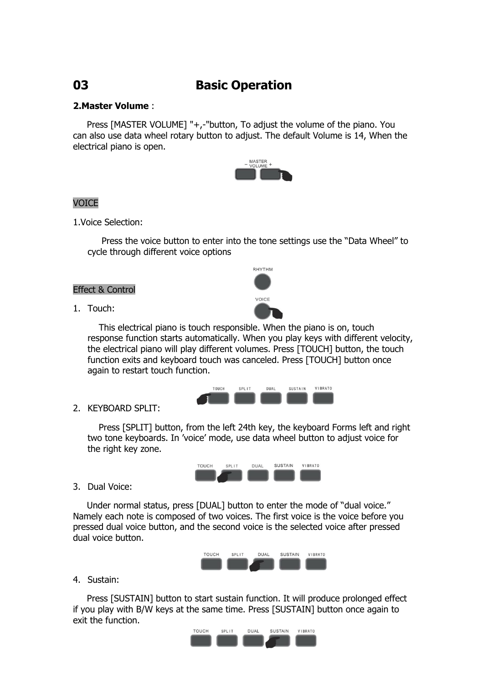# **03 Basic Operation**

# **2.Master Volume** :

 Press [MASTER VOLUME] "+,-"button, To adjust the volume of the piano. You can also use data wheel rotary button to adjust. The default Volume is 14, When the electrical piano is open.



## VOICE

1.Voice Selection:

 Press the voice button to enter into the tone settings use the "Data Wheel" to cycle through different voice options

RHYTHM

VOICE

### Effect & Control

1. Touch:

 This electrical piano is touch responsible. When the piano is on, touch response function starts automatically. When you play keys with different velocity, the electrical piano will play different volumes. Press [TOUCH] button, the touch function exits and keyboard touch was canceled. Press [TOUCH] button once again to restart touch function.



## 2. KEYBOARD SPLIT:

 Press [SPLIT] button, from the left 24th key, the keyboard Forms left and right two tone keyboards. In 'voice' mode, use data wheel button to adjust voice for the right key zone.



3. Dual Voice:

 Under normal status, press [DUAL] button to enter the mode of "dual voice." Namely each note is composed of two voices. The first voice is the voice before you pressed dual voice button, and the second voice is the selected voice after pressed dual voice button.



4. Sustain:

 Press [SUSTAIN] button to start sustain function. It will produce prolonged effect if you play with B/W keys at the same time. Press [SUSTAIN] button once again to exit the function.

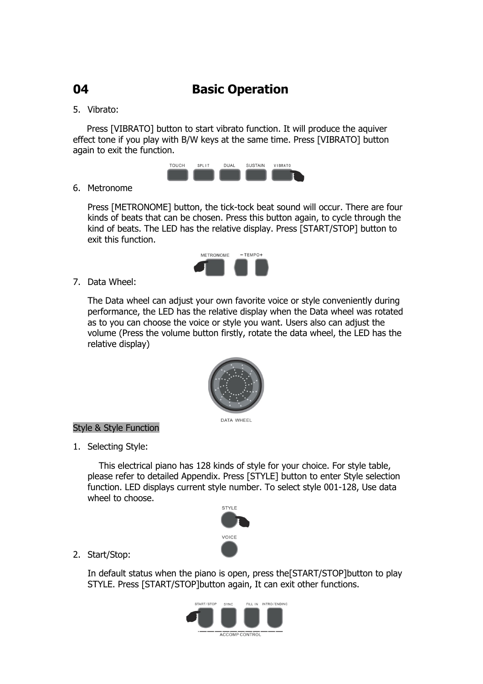# **04 Basic Operation**

# 5. Vibrato:

 Press [VIBRATO] button to start vibrato function. It will produce the aquiver effect tone if you play with B/W keys at the same time. Press [VIBRATO] button again to exit the function.



# 6. Metronome

Press [METRONOME] button, the tick-tock beat sound will occur. There are four kinds of beats that can be chosen. Press this button again, to cycle through the kind of beats. The LED has the relative display. Press [START/STOP] button to exit this function.



7. Data Wheel:

The Data wheel can adjust your own favorite voice or style conveniently during performance, the LED has the relative display when the Data wheel was rotated as to you can choose the voice or style you want. Users also can adjust the volume (Press the volume button firstly, rotate the data wheel, the LED has the relative display)



# Style & Style Function

1. Selecting Style:

This electrical piano has 128 kinds of style for your choice. For style table, please refer to detailed Appendix. Press [STYLE] button to enter Style selection function. LED displays current style number. To select style 001-128, Use data wheel to choose.



2. Start/Stop:

In default status when the piano is open, press the[START/STOP]button to play STYLE. Press [START/STOP]button again, It can exit other functions.

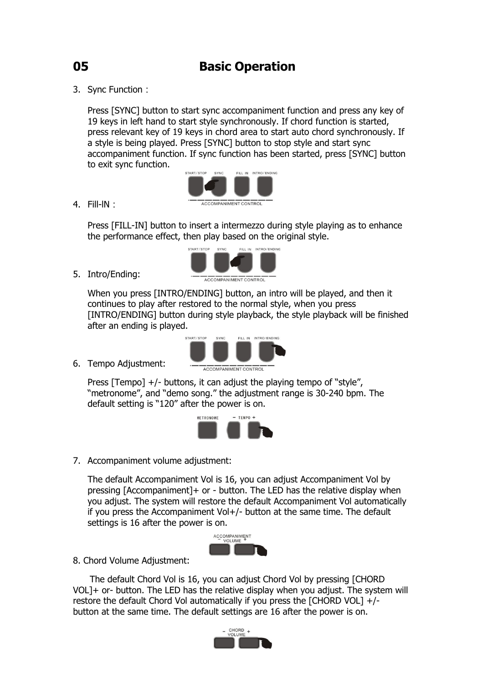3. Sync Function:

Press [SYNC] button to start sync accompaniment function and press any key of 19 keys in left hand to start style synchronously. If chord function is started, press relevant key of 19 keys in chord area to start auto chord synchronously. If a style is being played. Press [SYNC] button to stop style and start sync accompaniment function. If sync function has been started, press [SYNC] button to exit sync function.



4. Fill-lN:

Press [FILL-IN] button to insert a intermezzo during style playing as to enhance the performance effect, then play based on the original style.



5. Intro/Ending:

When you press [INTRO/ENDING] button, an intro will be played, and then it continues to play after restored to the normal style, when you press [INTRO/ENDING] button during style playback, the style playback will be finished after an ending is played.

6. Tempo Adjustment:



Press [Tempo]  $+/-$  buttons, it can adjust the playing tempo of "style", "metronome", and "demo song." the adjustment range is 30-240 bpm. The default setting is "120" after the power is on.



7. Accompaniment volume adjustment:

The default Accompaniment Vol is 16, you can adjust Accompaniment Vol by pressing [Accompaniment]+ or - button. The LED has the relative display when you adjust. The system will restore the default Accompaniment Vol automatically if you press the Accompaniment Vol+/- button at the same time. The default settings is 16 after the power is on.



8. Chord Volume Adjustment:

 The default Chord Vol is 16, you can adjust Chord Vol by pressing [CHORD VOL]+ or- button. The LED has the relative display when you adjust. The system will restore the default Chord Vol automatically if you press the [CHORD VOL] +/ button at the same time. The default settings are 16 after the power is on.

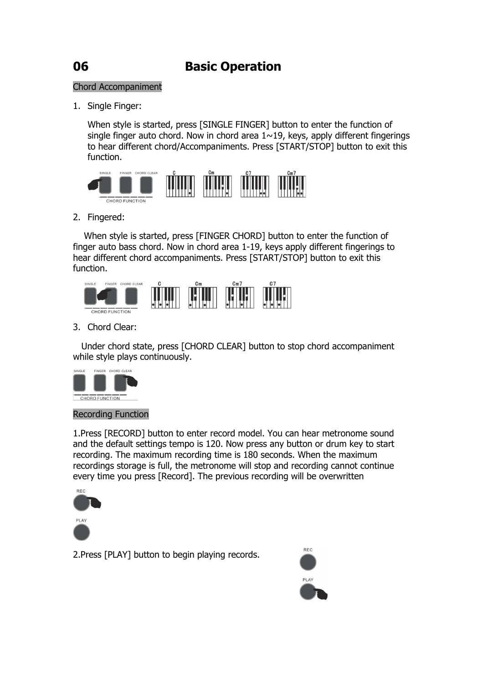# Chord Accompaniment

1. Single Finger:

When style is started, press [SINGLE FINGER] button to enter the function of single finger auto chord. Now in chord area  $1 \sim 19$ , keys, apply different fingerings to hear different chord/Accompaniments. Press [START/STOP] button to exit this function.



2. Fingered:

When style is started, press [FINGER CHORD] button to enter the function of finger auto bass chord. Now in chord area 1-19, keys apply different fingerings to hear different chord accompaniments. Press [START/STOP] button to exit this function.



3. Chord Clear:

 Under chord state, press [CHORD CLEAR] button to stop chord accompaniment while style plays continuously.



## Recording Function

1.Press [RECORD] button to enter record model. You can hear metronome sound and the default settings tempo is 120. Now press any button or drum key to start recording. The maximum recording time is 180 seconds. When the maximum recordings storage is full, the metronome will stop and recording cannot continue every time you press [Record]. The previous recording will be overwritten



2.Press [PLAY] button to begin playing records.

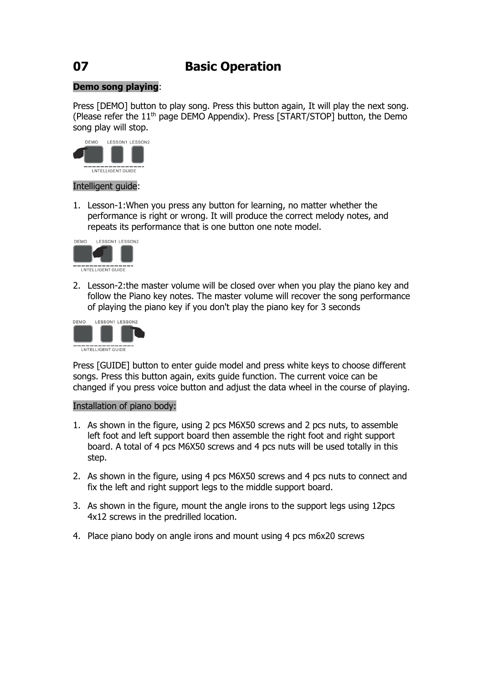# **07 Basic Operation**

# **Demo song playing**:

Press [DEMO] button to play song. Press this button again, It will play the next song. (Please refer the  $11<sup>th</sup>$  page DEMO Appendix). Press [START/STOP] button, the Demo song play will stop.



## Intelligent guide:

1. Lesson-1:When you press any button for learning, no matter whether the performance is right or wrong. It will produce the correct melody notes, and repeats its performance that is one button one note model.



2. Lesson-2:the master volume will be closed over when you play the piano key and follow the Piano key notes. The master volume will recover the song performance of playing the piano key if you don't play the piano key for 3 seconds



Press [GUIDE] button to enter guide model and press white keys to choose different songs. Press this button again, exits guide function. The current voice can be changed if you press voice button and adjust the data wheel in the course of playing.

## Installation of piano body:

- 1. As shown in the figure, using 2 pcs M6X50 screws and 2 pcs nuts, to assemble left foot and left support board then assemble the right foot and right support board. A total of 4 pcs M6X50 screws and 4 pcs nuts will be used totally in this step.
- 2. As shown in the figure, using 4 pcs M6X50 screws and 4 pcs nuts to connect and fix the left and right support legs to the middle support board.
- 3. As shown in the figure, mount the angle irons to the support legs using 12pcs 4x12 screws in the predrilled location.
- 4. Place piano body on angle irons and mount using 4 pcs m6x20 screws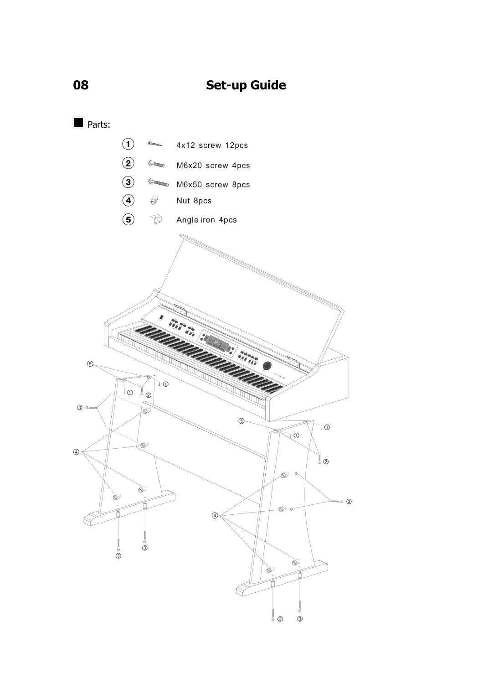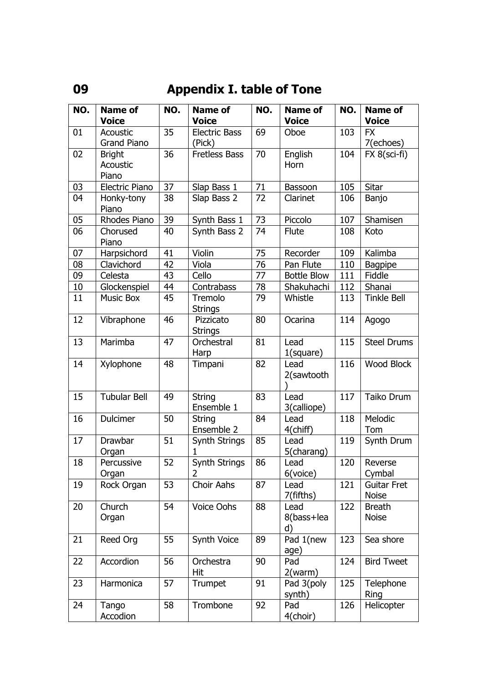# **09 Appendix I. table of Tone**

| NO. | <b>Name of</b>        | NO. | <b>Name of</b>              | NO.    | <b>Name of</b>           | NO. | <b>Name of</b>                |
|-----|-----------------------|-----|-----------------------------|--------|--------------------------|-----|-------------------------------|
|     | <b>Voice</b>          |     | <b>Voice</b>                |        | <b>Voice</b>             |     | <b>Voice</b>                  |
| 01  | Acoustic              | 35  | <b>Electric Bass</b>        | 69     | Oboe                     | 103 | <b>FX</b>                     |
|     | <b>Grand Piano</b>    |     | (Pick)                      |        |                          |     | 7(echoes)                     |
| 02  | <b>Bright</b>         | 36  | <b>Fretless Bass</b>        | 70     | English                  | 104 | $FX 8$ (sci-fi)               |
|     | Acoustic              |     |                             |        | Horn                     |     |                               |
|     | Piano                 |     |                             |        |                          |     |                               |
| 03  | <b>Electric Piano</b> | 37  | Slap Bass 1                 | $71\,$ | Bassoon                  | 105 | Sitar                         |
| 04  | Honky-tony<br>Piano   | 38  | Slap Bass 2                 | 72     | Clarinet                 | 106 | Banjo                         |
| 05  | Rhodes Piano          | 39  | Synth Bass 1                | 73     | Piccolo                  | 107 | Shamisen                      |
| 06  | Chorused<br>Piano     | 40  | Synth Bass 2                | 74     | <b>Flute</b>             | 108 | Koto                          |
| 07  | Harpsichord           | 41  | Violin                      | 75     | Recorder                 | 109 | Kalimba                       |
| 08  | Clavichord            | 42  | Viola                       | 76     | Pan Flute                | 110 | <b>Bagpipe</b>                |
| 09  | Celesta               | 43  | Cello                       | 77     | <b>Bottle Blow</b>       | 111 | Fiddle                        |
| 10  | Glockenspiel          | 44  | Contrabass                  | 78     | Shakuhachi               | 112 | Shanai                        |
| 11  | <b>Music Box</b>      | 45  | Tremolo<br><b>Strings</b>   | 79     | Whistle                  | 113 | <b>Tinkle Bell</b>            |
| 12  | Vibraphone            | 46  | Pizzicato<br><b>Strings</b> | 80     | Ocarina                  | 114 | Agogo                         |
| 13  | Marimba               | 47  | Orchestral<br>Harp          | 81     | Lead<br>$1$ (square)     | 115 | <b>Steel Drums</b>            |
| 14  | Xylophone             | 48  | Timpani                     | 82     | Lead<br>2(sawtooth       | 116 | <b>Wood Block</b>             |
| 15  | <b>Tubular Bell</b>   | 49  | <b>String</b><br>Ensemble 1 | 83     | Lead<br>3(calliope)      | 117 | Taiko Drum                    |
| 16  | Dulcimer              | 50  | <b>String</b><br>Ensemble 2 | 84     | Lead<br>4(chiff)         | 118 | Melodic<br>Tom                |
| 17  | Drawbar<br>Organ      | 51  | Synth Strings<br>1          | 85     | Lead<br>5(charang)       | 119 | Synth Drum                    |
| 18  | Percussive<br>Organ   | 52  | Synth Strings<br>2          | 86     | Lead<br>6(voice)         | 120 | Reverse<br>Cymbal             |
| 19  | Rock Organ            | 53  | Choir Aahs                  | 87     | Lead<br>7(fifths)        | 121 | Guitar Fret<br><b>Noise</b>   |
| 20  | Church<br>Organ       | 54  | Voice Oohs                  | 88     | Lead<br>8(bass+lea<br>d) | 122 | <b>Breath</b><br><b>Noise</b> |
| 21  | Reed Org              | 55  | Synth Voice                 | 89     | Pad 1(new<br>age)        | 123 | Sea shore                     |
| 22  | Accordion             | 56  | Orchestra<br>Hit            | 90     | Pad<br>2(warm)           | 124 | <b>Bird Tweet</b>             |
| 23  | Harmonica             | 57  | Trumpet                     | 91     | Pad 3(poly<br>synth)     | 125 | Telephone<br>Ring             |
| 24  | Tango<br>Accodion     | 58  | Trombone                    | 92     | Pad<br>4(choir)          | 126 | Helicopter                    |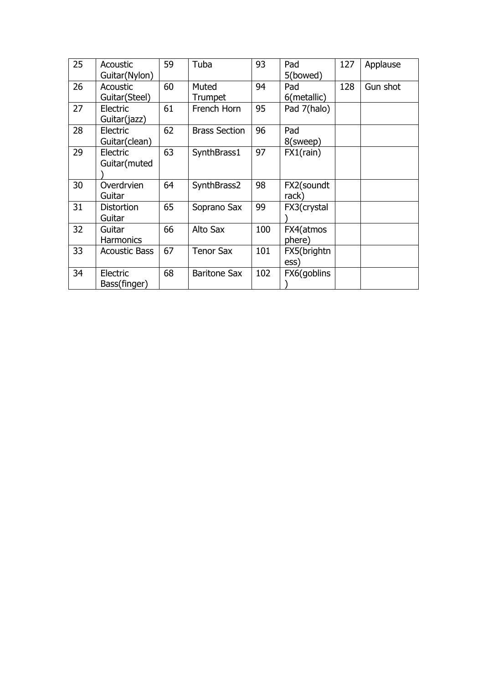| 25 | Acoustic<br>Guitar(Nylon)   | 59 | Tuba                    | 93  | Pad<br>5(bowed)     | 127 | Applause |
|----|-----------------------------|----|-------------------------|-----|---------------------|-----|----------|
| 26 | Acoustic<br>Guitar (Steel)  | 60 | Muted<br><b>Trumpet</b> | 94  | Pad<br>6(metallic)  | 128 | Gun shot |
| 27 | Electric<br>Guitar(jazz)    | 61 | French Horn             | 95  | Pad 7(halo)         |     |          |
| 28 | Electric<br>Guitar(clean)   | 62 | <b>Brass Section</b>    | 96  | Pad<br>8(sweep)     |     |          |
| 29 | Electric<br>Guitar(muted    | 63 | SynthBrass1             | 97  | FX1(rain)           |     |          |
| 30 | Overdrvien<br>Guitar        | 64 | SynthBrass2             | 98  | FX2(soundt<br>rack) |     |          |
| 31 | <b>Distortion</b><br>Guitar | 65 | Soprano Sax             | 99  | FX3(crystal         |     |          |
| 32 | Guitar<br><b>Harmonics</b>  | 66 | Alto Sax                | 100 | FX4(atmos<br>phere) |     |          |
| 33 | <b>Acoustic Bass</b>        | 67 | <b>Tenor Sax</b>        | 101 | FX5(brightn<br>ess) |     |          |
| 34 | Electric<br>Bass(finger)    | 68 | <b>Baritone Sax</b>     | 102 | FX6(goblins         |     |          |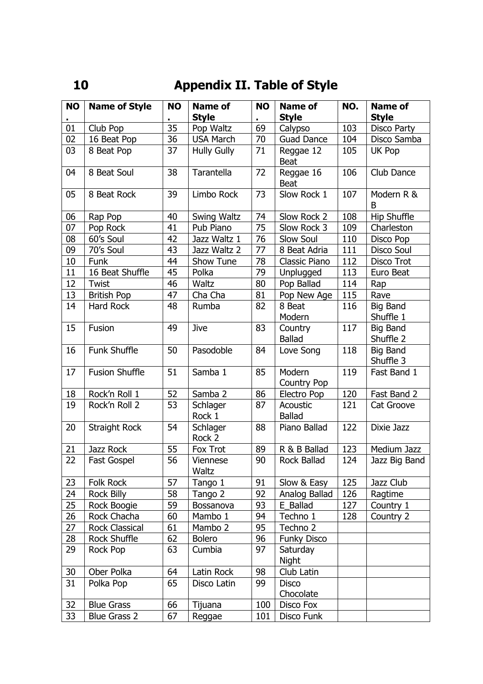# **10 Appendix II. Table of Style**

| <b>NO</b> | <b>Name of Style</b>  | <b>NO</b> | <b>Name of</b>           | <b>NO</b> | <b>Name of</b>            | NO. | <b>Name of</b>               |
|-----------|-----------------------|-----------|--------------------------|-----------|---------------------------|-----|------------------------------|
|           |                       |           | <b>Style</b>             |           | <b>Style</b>              |     | <b>Style</b>                 |
| 01        | Club Pop              | 35        | Pop Waltz                | 69        | Calypso                   | 103 | Disco Party                  |
| 02        | 16 Beat Pop           | 36        | <b>USA March</b>         | 70        | <b>Guad Dance</b>         | 104 | Disco Samba                  |
| 03        | 8 Beat Pop            | 37        | <b>Hully Gully</b>       | 71        | Reggae 12<br><b>Beat</b>  | 105 | UK Pop                       |
| 04        | 8 Beat Soul           | 38        | Tarantella               | 72        | Reggae 16<br><b>Beat</b>  | 106 | Club Dance                   |
| 05        | 8 Beat Rock           | 39        | Limbo Rock               | 73        | Slow Rock 1               | 107 | Modern R &<br>B              |
| 06        | Rap Pop               | 40        | Swing Waltz              | 74        | Slow Rock 2               | 108 | Hip Shuffle                  |
| 07        | Pop Rock              | 41        | Pub Piano                | 75        | Slow Rock 3               | 109 | Charleston                   |
| 08        | 60's Soul             | 42        | Jazz Waltz 1             | 76        | Slow Soul                 | 110 | Disco Pop                    |
| 09        | 70's Soul             | 43        | Jazz Waltz 2             | 77        | 8 Beat Adria              | 111 | Disco Soul                   |
| 10        | Funk                  | 44        | Show Tune                | 78        | Classic Piano             | 112 | Disco Trot                   |
| 11        | 16 Beat Shuffle       | 45        | Polka                    | 79        | Unplugged                 | 113 | Euro Beat                    |
| 12        | Twist                 | 46        | <b>Waltz</b>             | 80        | Pop Ballad                | 114 | Rap                          |
| 13        | <b>British Pop</b>    | 47        | Cha Cha                  | 81        | Pop New Age               | 115 | Rave                         |
| 14        | Hard Rock             | 48        | Rumba                    | 82        | 8 Beat<br>Modern          | 116 | <b>Big Band</b><br>Shuffle 1 |
| 15        | Fusion                | 49        | Jive                     | 83        | Country<br><b>Ballad</b>  | 117 | <b>Big Band</b><br>Shuffle 2 |
| 16        | <b>Funk Shuffle</b>   | 50        | Pasodoble                | 84        | Love Song                 | 118 | <b>Big Band</b><br>Shuffle 3 |
| 17        | <b>Fusion Shuffle</b> | 51        | Samba 1                  | 85        | Modern<br>Country Pop     | 119 | Fast Band 1                  |
| 18        | Rock'n Roll 1         | 52        | Samba 2                  | 86        | Electro Pop               | 120 | Fast Band 2                  |
| 19        | Rock'n Roll 2         | 53        | Schlager<br>Rock 1       | 87        | Acoustic<br><b>Ballad</b> | 121 | Cat Groove                   |
| 20        | Straight Rock         | 54        | Schlager<br>Rock 2       | 88        | Piano Ballad              | 122 | Dixie Jazz                   |
| 21        | Jazz Rock             | 55        | Fox Trot                 | 89        | R & B Ballad              | 123 | Medium Jazz                  |
| 22        | <b>Fast Gospel</b>    | 56        | Viennese<br><b>Waltz</b> | 90        | Rock Ballad               | 124 | Jazz Big Band                |
| 23        | Folk Rock             | 57        | Tango 1                  | 91        | Slow & Easy               | 125 | Jazz Club                    |
| 24        | <b>Rock Billy</b>     | 58        | Tango 2                  | 92        | Analog Ballad             | 126 | Ragtime                      |
| 25        | Rock Boogie           | 59        | Bossanova                | 93        | E Ballad                  | 127 | Country 1                    |
| 26        | Rock Chacha           | 60        | Mambo 1                  | 94        | Techno 1                  | 128 | Country 2                    |
| 27        | <b>Rock Classical</b> | 61        | Mambo 2                  | 95        | Techno 2                  |     |                              |
| 28        | Rock Shuffle          | 62        | <b>Bolero</b>            | 96        | <b>Funky Disco</b>        |     |                              |
| 29        | Rock Pop              | 63        | Cumbia                   | 97        | Saturday<br>Night         |     |                              |
| 30        | Ober Polka            | 64        | Latin Rock               | 98        | Club Latin                |     |                              |
| 31        | Polka Pop             | 65        | Disco Latin              | 99        | <b>Disco</b><br>Chocolate |     |                              |
| 32        | <b>Blue Grass</b>     | 66        | Tijuana                  | 100       | Disco Fox                 |     |                              |
| 33        | <b>Blue Grass 2</b>   | 67        | Reggae                   | 101       | Disco Funk                |     |                              |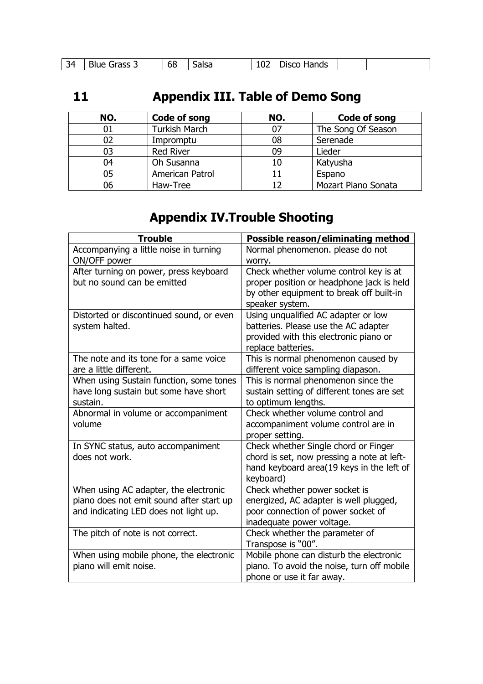| - 34<br>. . | $-0.00$<br>וור | --<br>68 | . | TUL | dande<br>$- - - -$<br>ш<br>idrius |  |  |
|-------------|----------------|----------|---|-----|-----------------------------------|--|--|
|-------------|----------------|----------|---|-----|-----------------------------------|--|--|

# **11 Appendix III. Table of Demo Song**

| NO. | <b>Code of song</b>  | NO. | Code of song        |
|-----|----------------------|-----|---------------------|
| 01  | <b>Turkish March</b> | 07  | The Song Of Season  |
| 02  | Impromptu            | 08  | Serenade            |
| 03  | <b>Red River</b>     | 09  | Lieder              |
| 04  | Oh Susanna           | 10  | Katyusha            |
| 05  | American Patrol      | 11  | Espano              |
| 06  | Haw-Tree             | 1つ  | Mozart Piano Sonata |

# **Appendix IV.Trouble Shooting**

| Accompanying a little noise in turning<br>Normal phenomenon. please do not<br>ON/OFF power<br>worry.<br>Check whether volume control key is at<br>After turning on power, press keyboard |
|------------------------------------------------------------------------------------------------------------------------------------------------------------------------------------------|
|                                                                                                                                                                                          |
|                                                                                                                                                                                          |
|                                                                                                                                                                                          |
| but no sound can be emitted<br>proper position or headphone jack is held                                                                                                                 |
| by other equipment to break off built-in                                                                                                                                                 |
| speaker system.                                                                                                                                                                          |
| Distorted or discontinued sound, or even<br>Using unqualified AC adapter or low                                                                                                          |
| system halted.<br>batteries. Please use the AC adapter                                                                                                                                   |
| provided with this electronic piano or                                                                                                                                                   |
| replace batteries.                                                                                                                                                                       |
| The note and its tone for a same voice<br>This is normal phenomenon caused by                                                                                                            |
| are a little different.<br>different voice sampling diapason.                                                                                                                            |
| When using Sustain function, some tones<br>This is normal phenomenon since the                                                                                                           |
| sustain setting of different tones are set<br>have long sustain but some have short                                                                                                      |
| to optimum lengths.<br>sustain.                                                                                                                                                          |
| Check whether volume control and<br>Abnormal in volume or accompaniment                                                                                                                  |
| volume<br>accompaniment volume control are in                                                                                                                                            |
| proper setting.                                                                                                                                                                          |
| Check whether Single chord or Finger<br>In SYNC status, auto accompaniment                                                                                                               |
| does not work.<br>chord is set, now pressing a note at left-                                                                                                                             |
| hand keyboard area(19 keys in the left of                                                                                                                                                |
| keyboard)                                                                                                                                                                                |
| When using AC adapter, the electronic<br>Check whether power socket is                                                                                                                   |
| piano does not emit sound after start up<br>energized, AC adapter is well plugged,                                                                                                       |
| and indicating LED does not light up.<br>poor connection of power socket of                                                                                                              |
| inadequate power voltage.<br>Check whether the parameter of                                                                                                                              |
| The pitch of note is not correct.<br>Transpose is "00".                                                                                                                                  |
|                                                                                                                                                                                          |
| When using mobile phone, the electronic<br>Mobile phone can disturb the electronic<br>piano will emit noise.<br>piano. To avoid the noise, turn off mobile                               |
| phone or use it far away.                                                                                                                                                                |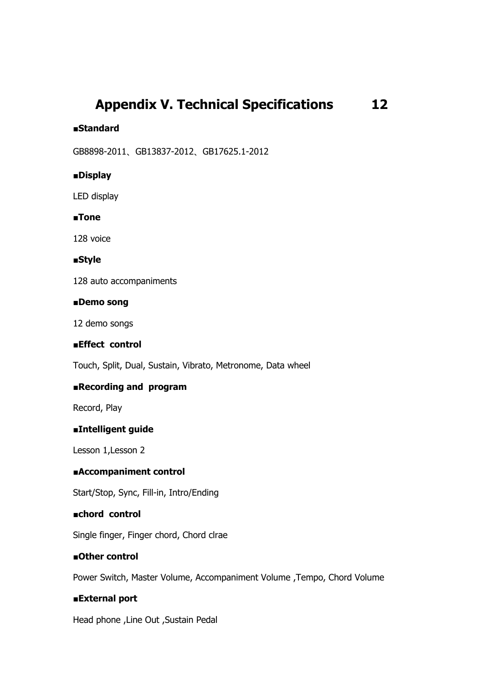# **Appendix V. Technical Specifications 12**

## ■**Standard**

GB8898-2011、GB13837-2012、GB17625.1-2012

# ■**Display**

LED display

## ■**Tone**

128 voice

## ■**Style**

128 auto accompaniments

### ■**Demo song**

12 demo songs

## ■**Effect control**

Touch, Split, Dual, Sustain, Vibrato, Metronome, Data wheel

# ■**Recording and program**

Record, Play

# ■**Intelligent guide**

Lesson 1,Lesson 2

## ■**Accompaniment control**

Start/Stop, Sync, Fill-in, Intro/Ending

## ■**chord control**

Single finger, Finger chord, Chord clrae

# ■**Other control**

Power Switch, Master Volume, Accompaniment Volume ,Tempo, Chord Volume

## ■**External port**

Head phone ,Line Out ,Sustain Pedal